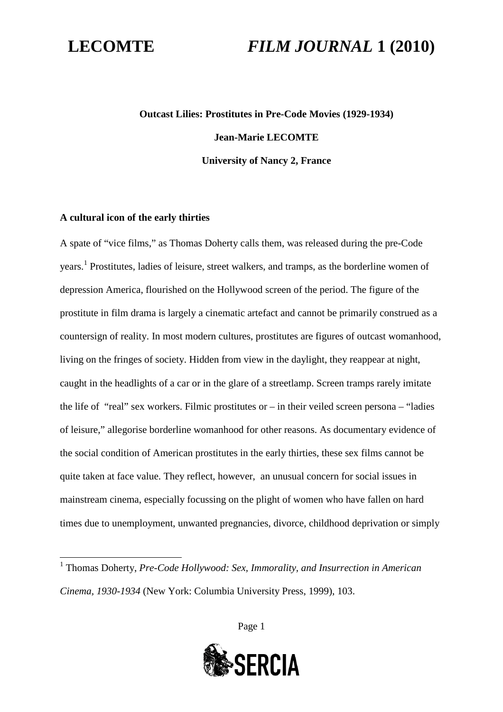# **Outcast Lilies: Prostitutes in Pre-Code Movies (1929-1934) Jean-Marie LECOMTE University of Nancy 2, France**

### **A cultural icon of the early thirties**

A spate of "vice films," as Thomas Doherty calls them, was released during the pre-Code years.<sup>[1](#page-0-0)</sup> Prostitutes, ladies of leisure, street walkers, and tramps, as the borderline women of depression America, flourished on the Hollywood screen of the period. The figure of the prostitute in film drama is largely a cinematic artefact and cannot be primarily construed as a countersign of reality. In most modern cultures, prostitutes are figures of outcast womanhood, living on the fringes of society. Hidden from view in the daylight, they reappear at night, caught in the headlights of a car or in the glare of a streetlamp. Screen tramps rarely imitate the life of "real" sex workers. Filmic prostitutes or – in their veiled screen persona – "ladies of leisure," allegorise borderline womanhood for other reasons. As documentary evidence of the social condition of American prostitutes in the early thirties, these sex films cannot be quite taken at face value. They reflect, however, an unusual concern for social issues in mainstream cinema, especially focussing on the plight of women who have fallen on hard times due to unemployment, unwanted pregnancies, divorce, childhood deprivation or simply

**SERCIA** 

<span id="page-0-0"></span><sup>&</sup>lt;sup>1</sup> Thomas Doherty, *Pre-Code Hollywood: Sex, Immorality, and Insurrection in American Cinema, 1930-1934* (New York: Columbia University Press, 1999), 103.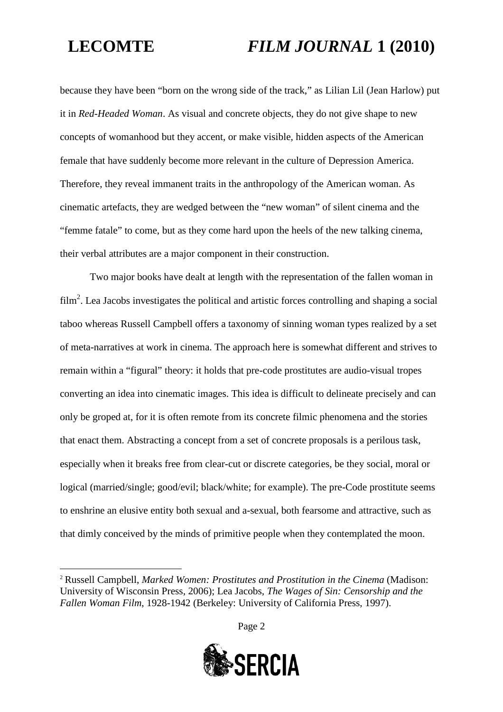because they have been "born on the wrong side of the track," as Lilian Lil (Jean Harlow) put it in *Red-Headed Woman*. As visual and concrete objects, they do not give shape to new concepts of womanhood but they accent, or make visible, hidden aspects of the American female that have suddenly become more relevant in the culture of Depression America. Therefore, they reveal immanent traits in the anthropology of the American woman. As cinematic artefacts, they are wedged between the "new woman" of silent cinema and the "femme fatale" to come, but as they come hard upon the heels of the new talking cinema, their verbal attributes are a major component in their construction.

Two major books have dealt at length with the representation of the fallen woman in  $film<sup>2</sup>$  $film<sup>2</sup>$  $film<sup>2</sup>$ . Lea Jacobs investigates the political and artistic forces controlling and shaping a social taboo whereas Russell Campbell offers a taxonomy of sinning woman types realized by a set of meta-narratives at work in cinema. The approach here is somewhat different and strives to remain within a "figural" theory: it holds that pre-code prostitutes are audio-visual tropes converting an idea into cinematic images. This idea is difficult to delineate precisely and can only be groped at, for it is often remote from its concrete filmic phenomena and the stories that enact them. Abstracting a concept from a set of concrete proposals is a perilous task, especially when it breaks free from clear-cut or discrete categories, be they social, moral or logical (married/single; good/evil; black/white; for example). The pre-Code prostitute seems to enshrine an elusive entity both sexual and a-sexual, both fearsome and attractive, such as that dimly conceived by the minds of primitive people when they contemplated the moon.

<span id="page-1-0"></span><sup>2</sup> Russell Campbell, *Marked Women: Prostitutes and Prostitution in the Cinema* (Madison: University of Wisconsin Press, 2006); Lea Jacobs, *The Wages of Sin: Censorship and the Fallen Woman Film*, 1928-1942 (Berkeley: University of California Press, 1997).

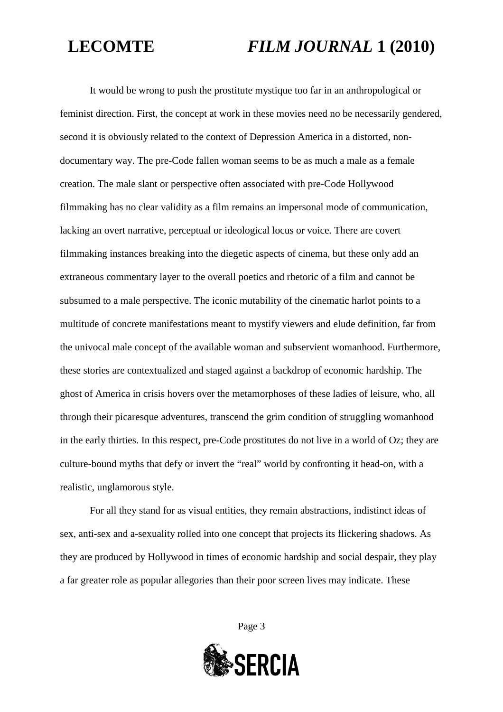It would be wrong to push the prostitute mystique too far in an anthropological or feminist direction. First, the concept at work in these movies need no be necessarily gendered, second it is obviously related to the context of Depression America in a distorted, nondocumentary way. The pre-Code fallen woman seems to be as much a male as a female creation. The male slant or perspective often associated with pre-Code Hollywood filmmaking has no clear validity as a film remains an impersonal mode of communication, lacking an overt narrative, perceptual or ideological locus or voice. There are covert filmmaking instances breaking into the diegetic aspects of cinema, but these only add an extraneous commentary layer to the overall poetics and rhetoric of a film and cannot be subsumed to a male perspective. The iconic mutability of the cinematic harlot points to a multitude of concrete manifestations meant to mystify viewers and elude definition, far from the univocal male concept of the available woman and subservient womanhood. Furthermore, these stories are contextualized and staged against a backdrop of economic hardship. The ghost of America in crisis hovers over the metamorphoses of these ladies of leisure, who, all through their picaresque adventures, transcend the grim condition of struggling womanhood in the early thirties. In this respect, pre-Code prostitutes do not live in a world of Oz; they are culture-bound myths that defy or invert the "real" world by confronting it head-on, with a realistic, unglamorous style.

For all they stand for as visual entities, they remain abstractions, indistinct ideas of sex, anti-sex and a-sexuality rolled into one concept that projects its flickering shadows. As they are produced by Hollywood in times of economic hardship and social despair, they play a far greater role as popular allegories than their poor screen lives may indicate. These

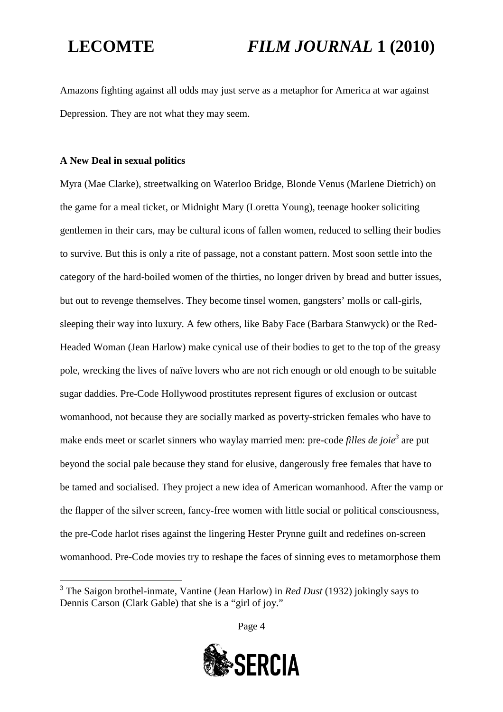Amazons fighting against all odds may just serve as a metaphor for America at war against Depression. They are not what they may seem.

### **A New Deal in sexual politics**

Myra (Mae Clarke), streetwalking on Waterloo Bridge, Blonde Venus (Marlene Dietrich) on the game for a meal ticket, or Midnight Mary (Loretta Young), teenage hooker soliciting gentlemen in their cars, may be cultural icons of fallen women, reduced to selling their bodies to survive. But this is only a rite of passage, not a constant pattern. Most soon settle into the category of the hard-boiled women of the thirties, no longer driven by bread and butter issues, but out to revenge themselves. They become tinsel women, gangsters' molls or call-girls, sleeping their way into luxury. A few others, like Baby Face (Barbara Stanwyck) or the Red-Headed Woman (Jean Harlow) make cynical use of their bodies to get to the top of the greasy pole, wrecking the lives of naïve lovers who are not rich enough or old enough to be suitable sugar daddies. Pre-Code Hollywood prostitutes represent figures of exclusion or outcast womanhood, not because they are socially marked as poverty-stricken females who have to make ends meet or scarlet sinners who waylay married men: pre-code *filles de joie[3](#page-3-0)* are put beyond the social pale because they stand for elusive, dangerously free females that have to be tamed and socialised. They project a new idea of American womanhood. After the vamp or the flapper of the silver screen, fancy-free women with little social or political consciousness, the pre-Code harlot rises against the lingering Hester Prynne guilt and redefines on-screen womanhood. Pre-Code movies try to reshape the faces of sinning eves to metamorphose them



<span id="page-3-0"></span><sup>3</sup> The Saigon brothel-inmate, Vantine (Jean Harlow) in *Red Dust* (1932) jokingly says to Dennis Carson (Clark Gable) that she is a "girl of joy."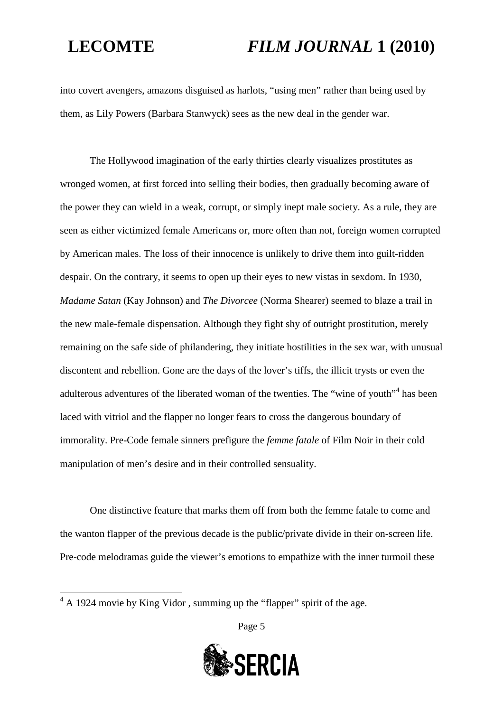into covert avengers, amazons disguised as harlots, "using men" rather than being used by them, as Lily Powers (Barbara Stanwyck) sees as the new deal in the gender war.

The Hollywood imagination of the early thirties clearly visualizes prostitutes as wronged women, at first forced into selling their bodies, then gradually becoming aware of the power they can wield in a weak, corrupt, or simply inept male society. As a rule, they are seen as either victimized female Americans or, more often than not, foreign women corrupted by American males. The loss of their innocence is unlikely to drive them into guilt-ridden despair. On the contrary, it seems to open up their eyes to new vistas in sexdom. In 1930, *Madame Satan* (Kay Johnson) and *The Divorcee* (Norma Shearer) seemed to blaze a trail in the new male-female dispensation. Although they fight shy of outright prostitution, merely remaining on the safe side of philandering, they initiate hostilities in the sex war, with unusual discontent and rebellion. Gone are the days of the lover's tiffs, the illicit trysts or even the adulterous adventures of the liberated woman of the twenties. The "wine of youth"<sup>[4](#page-4-0)</sup> has been laced with vitriol and the flapper no longer fears to cross the dangerous boundary of immorality. Pre-Code female sinners prefigure the *femme fatale* of Film Noir in their cold manipulation of men's desire and in their controlled sensuality.

One distinctive feature that marks them off from both the femme fatale to come and the wanton flapper of the previous decade is the public/private divide in their on-screen life. Pre-code melodramas guide the viewer's emotions to empathize with the inner turmoil these



<span id="page-4-0"></span> $\sqrt[4]{4 \text{ A } 1924}$  movie by King Vidor, summing up the "flapper" spirit of the age.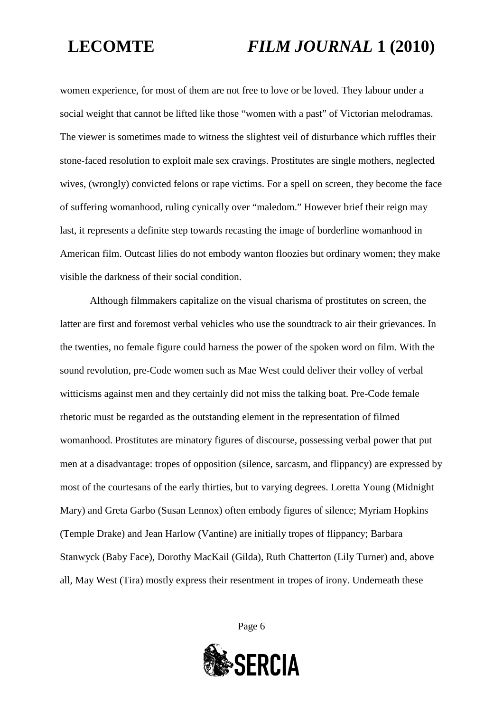women experience, for most of them are not free to love or be loved. They labour under a social weight that cannot be lifted like those "women with a past" of Victorian melodramas. The viewer is sometimes made to witness the slightest veil of disturbance which ruffles their stone-faced resolution to exploit male sex cravings. Prostitutes are single mothers, neglected wives, (wrongly) convicted felons or rape victims. For a spell on screen, they become the face of suffering womanhood, ruling cynically over "maledom." However brief their reign may last, it represents a definite step towards recasting the image of borderline womanhood in American film. Outcast lilies do not embody wanton floozies but ordinary women; they make visible the darkness of their social condition.

Although filmmakers capitalize on the visual charisma of prostitutes on screen, the latter are first and foremost verbal vehicles who use the soundtrack to air their grievances. In the twenties, no female figure could harness the power of the spoken word on film. With the sound revolution, pre-Code women such as Mae West could deliver their volley of verbal witticisms against men and they certainly did not miss the talking boat. Pre-Code female rhetoric must be regarded as the outstanding element in the representation of filmed womanhood. Prostitutes are minatory figures of discourse, possessing verbal power that put men at a disadvantage: tropes of opposition (silence, sarcasm, and flippancy) are expressed by most of the courtesans of the early thirties, but to varying degrees. Loretta Young (Midnight Mary) and Greta Garbo (Susan Lennox) often embody figures of silence; Myriam Hopkins (Temple Drake) and Jean Harlow (Vantine) are initially tropes of flippancy; Barbara Stanwyck (Baby Face), Dorothy MacKail (Gilda), Ruth Chatterton (Lily Turner) and, above all, May West (Tira) mostly express their resentment in tropes of irony. Underneath these

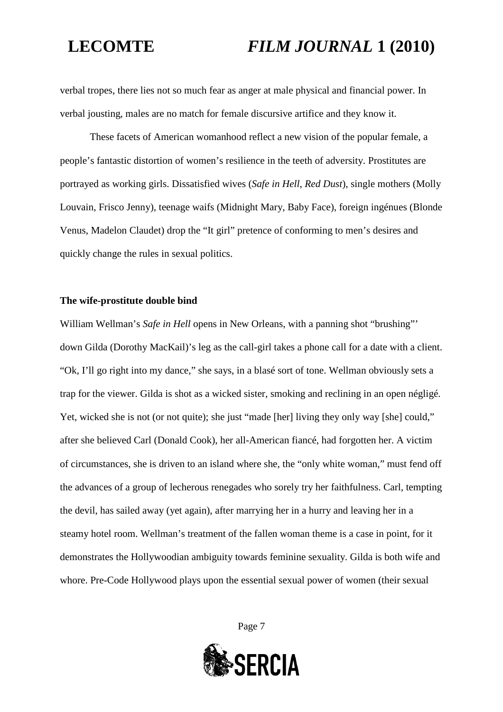verbal tropes, there lies not so much fear as anger at male physical and financial power. In verbal jousting, males are no match for female discursive artifice and they know it.

These facets of American womanhood reflect a new vision of the popular female, a people's fantastic distortion of women's resilience in the teeth of adversity. Prostitutes are portrayed as working girls. Dissatisfied wives (*Safe in Hell*, *Red Dust*), single mothers (Molly Louvain, Frisco Jenny), teenage waifs (Midnight Mary, Baby Face), foreign ingénues (Blonde Venus, Madelon Claudet) drop the "It girl" pretence of conforming to men's desires and quickly change the rules in sexual politics.

### **The wife-prostitute double bind**

William Wellman's *Safe in Hell* opens in New Orleans, with a panning shot "brushing"' down Gilda (Dorothy MacKail)'s leg as the call-girl takes a phone call for a date with a client. "Ok, I'll go right into my dance," she says, in a blasé sort of tone. Wellman obviously sets a trap for the viewer. Gilda is shot as a wicked sister, smoking and reclining in an open négligé. Yet, wicked she is not (or not quite); she just "made [her] living they only way [she] could," after she believed Carl (Donald Cook), her all-American fiancé, had forgotten her. A victim of circumstances, she is driven to an island where she, the "only white woman," must fend off the advances of a group of lecherous renegades who sorely try her faithfulness. Carl, tempting the devil, has sailed away (yet again), after marrying her in a hurry and leaving her in a steamy hotel room. Wellman's treatment of the fallen woman theme is a case in point, for it demonstrates the Hollywoodian ambiguity towards feminine sexuality. Gilda is both wife and whore. Pre-Code Hollywood plays upon the essential sexual power of women (their sexual

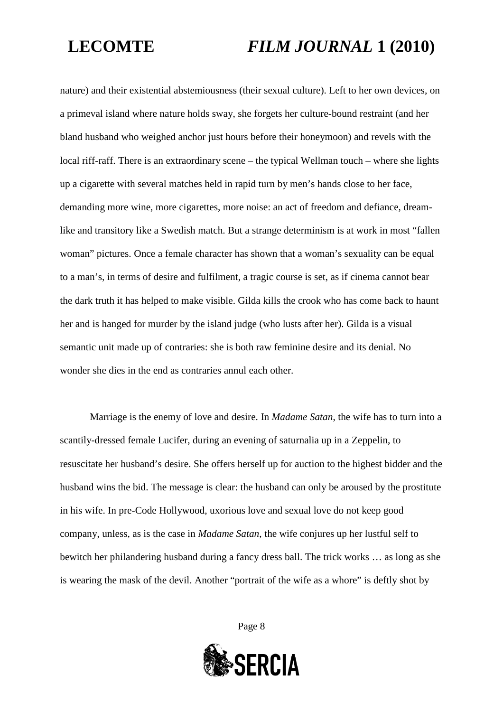nature) and their existential abstemiousness (their sexual culture). Left to her own devices, on a primeval island where nature holds sway, she forgets her culture-bound restraint (and her bland husband who weighed anchor just hours before their honeymoon) and revels with the local riff-raff. There is an extraordinary scene – the typical Wellman touch – where she lights up a cigarette with several matches held in rapid turn by men's hands close to her face, demanding more wine, more cigarettes, more noise: an act of freedom and defiance, dreamlike and transitory like a Swedish match. But a strange determinism is at work in most "fallen woman" pictures. Once a female character has shown that a woman's sexuality can be equal to a man's, in terms of desire and fulfilment, a tragic course is set, as if cinema cannot bear the dark truth it has helped to make visible. Gilda kills the crook who has come back to haunt her and is hanged for murder by the island judge (who lusts after her). Gilda is a visual semantic unit made up of contraries: she is both raw feminine desire and its denial. No wonder she dies in the end as contraries annul each other.

Marriage is the enemy of love and desire. In *Madame Satan*, the wife has to turn into a scantily-dressed female Lucifer, during an evening of saturnalia up in a Zeppelin, to resuscitate her husband's desire. She offers herself up for auction to the highest bidder and the husband wins the bid. The message is clear: the husband can only be aroused by the prostitute in his wife. In pre-Code Hollywood, uxorious love and sexual love do not keep good company, unless, as is the case in *Madame Satan*, the wife conjures up her lustful self to bewitch her philandering husband during a fancy dress ball. The trick works … as long as she is wearing the mask of the devil. Another "portrait of the wife as a whore" is deftly shot by

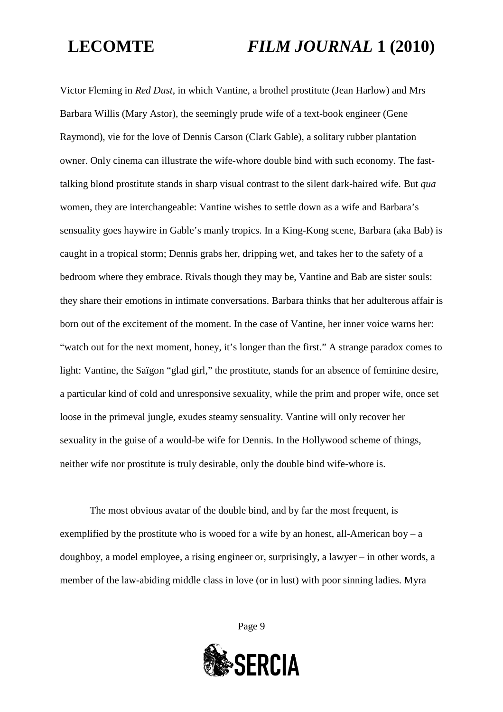Victor Fleming in *Red Dust*, in which Vantine, a brothel prostitute (Jean Harlow) and Mrs Barbara Willis (Mary Astor), the seemingly prude wife of a text-book engineer (Gene Raymond), vie for the love of Dennis Carson (Clark Gable), a solitary rubber plantation owner. Only cinema can illustrate the wife-whore double bind with such economy. The fasttalking blond prostitute stands in sharp visual contrast to the silent dark-haired wife. But *qua* women, they are interchangeable: Vantine wishes to settle down as a wife and Barbara's sensuality goes haywire in Gable's manly tropics. In a King-Kong scene, Barbara (aka Bab) is caught in a tropical storm; Dennis grabs her, dripping wet, and takes her to the safety of a bedroom where they embrace. Rivals though they may be, Vantine and Bab are sister souls: they share their emotions in intimate conversations. Barbara thinks that her adulterous affair is born out of the excitement of the moment. In the case of Vantine, her inner voice warns her: "watch out for the next moment, honey, it's longer than the first." A strange paradox comes to light: Vantine, the Saïgon "glad girl," the prostitute, stands for an absence of feminine desire, a particular kind of cold and unresponsive sexuality, while the prim and proper wife, once set loose in the primeval jungle, exudes steamy sensuality. Vantine will only recover her sexuality in the guise of a would-be wife for Dennis. In the Hollywood scheme of things, neither wife nor prostitute is truly desirable, only the double bind wife-whore is.

The most obvious avatar of the double bind, and by far the most frequent, is exemplified by the prostitute who is wooed for a wife by an honest, all-American boy – a doughboy, a model employee, a rising engineer or, surprisingly, a lawyer – in other words, a member of the law-abiding middle class in love (or in lust) with poor sinning ladies. Myra

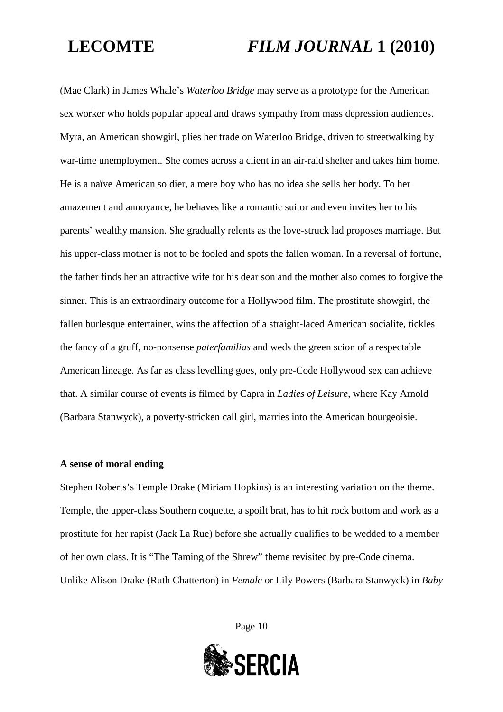(Mae Clark) in James Whale's *Waterloo Bridge* may serve as a prototype for the American sex worker who holds popular appeal and draws sympathy from mass depression audiences. Myra, an American showgirl, plies her trade on Waterloo Bridge, driven to streetwalking by war-time unemployment. She comes across a client in an air-raid shelter and takes him home. He is a naïve American soldier, a mere boy who has no idea she sells her body. To her amazement and annoyance, he behaves like a romantic suitor and even invites her to his parents' wealthy mansion. She gradually relents as the love-struck lad proposes marriage. But his upper-class mother is not to be fooled and spots the fallen woman. In a reversal of fortune, the father finds her an attractive wife for his dear son and the mother also comes to forgive the sinner. This is an extraordinary outcome for a Hollywood film. The prostitute showgirl, the fallen burlesque entertainer, wins the affection of a straight-laced American socialite, tickles the fancy of a gruff, no-nonsense *paterfamilias* and weds the green scion of a respectable American lineage. As far as class levelling goes, only pre-Code Hollywood sex can achieve that. A similar course of events is filmed by Capra in *Ladies of Leisure*, where Kay Arnold (Barbara Stanwyck), a poverty-stricken call girl, marries into the American bourgeoisie.

### **A sense of moral ending**

Stephen Roberts's Temple Drake (Miriam Hopkins) is an interesting variation on the theme. Temple, the upper-class Southern coquette, a spoilt brat, has to hit rock bottom and work as a prostitute for her rapist (Jack La Rue) before she actually qualifies to be wedded to a member of her own class. It is "The Taming of the Shrew" theme revisited by pre-Code cinema. Unlike Alison Drake (Ruth Chatterton) in *Female* or Lily Powers (Barbara Stanwyck) in *Baby*

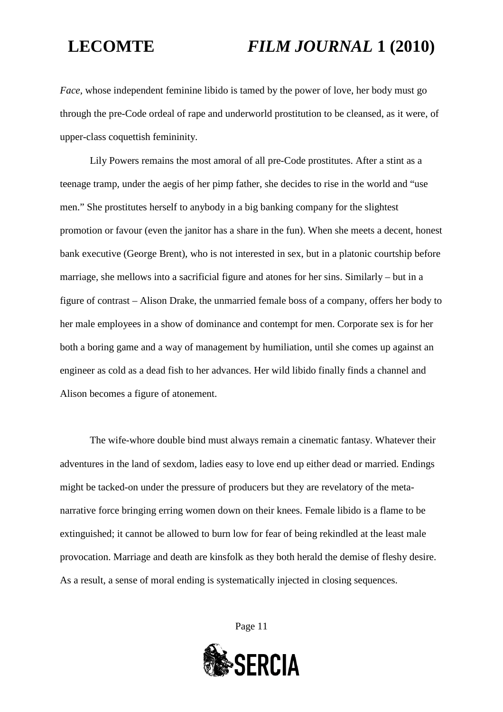*Face,* whose independent feminine libido is tamed by the power of love, her body must go through the pre-Code ordeal of rape and underworld prostitution to be cleansed, as it were, of upper-class coquettish femininity.

Lily Powers remains the most amoral of all pre-Code prostitutes. After a stint as a teenage tramp, under the aegis of her pimp father, she decides to rise in the world and "use men." She prostitutes herself to anybody in a big banking company for the slightest promotion or favour (even the janitor has a share in the fun). When she meets a decent, honest bank executive (George Brent), who is not interested in sex, but in a platonic courtship before marriage, she mellows into a sacrificial figure and atones for her sins. Similarly – but in a figure of contrast – Alison Drake, the unmarried female boss of a company, offers her body to her male employees in a show of dominance and contempt for men. Corporate sex is for her both a boring game and a way of management by humiliation, until she comes up against an engineer as cold as a dead fish to her advances. Her wild libido finally finds a channel and Alison becomes a figure of atonement.

The wife-whore double bind must always remain a cinematic fantasy. Whatever their adventures in the land of sexdom, ladies easy to love end up either dead or married. Endings might be tacked-on under the pressure of producers but they are revelatory of the metanarrative force bringing erring women down on their knees. Female libido is a flame to be extinguished; it cannot be allowed to burn low for fear of being rekindled at the least male provocation. Marriage and death are kinsfolk as they both herald the demise of fleshy desire. As a result, a sense of moral ending is systematically injected in closing sequences.

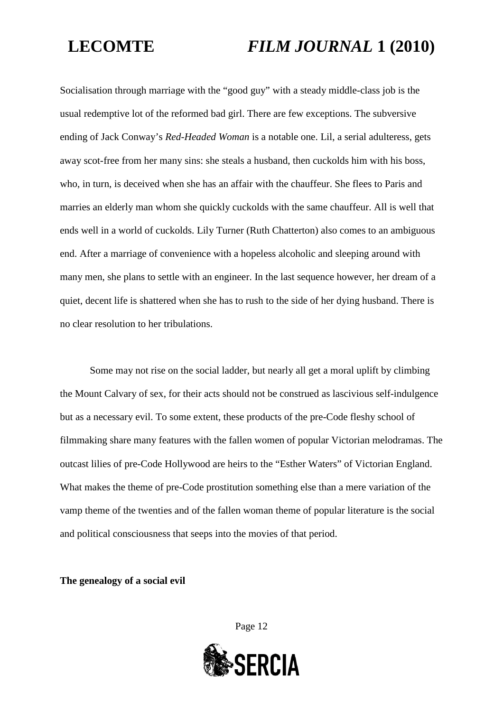Socialisation through marriage with the "good guy" with a steady middle-class job is the usual redemptive lot of the reformed bad girl. There are few exceptions. The subversive ending of Jack Conway's *Red-Headed Woman* is a notable one. Lil, a serial adulteress, gets away scot-free from her many sins: she steals a husband, then cuckolds him with his boss, who, in turn, is deceived when she has an affair with the chauffeur. She flees to Paris and marries an elderly man whom she quickly cuckolds with the same chauffeur. All is well that ends well in a world of cuckolds. Lily Turner (Ruth Chatterton) also comes to an ambiguous end. After a marriage of convenience with a hopeless alcoholic and sleeping around with many men, she plans to settle with an engineer. In the last sequence however, her dream of a quiet, decent life is shattered when she has to rush to the side of her dying husband. There is no clear resolution to her tribulations.

Some may not rise on the social ladder, but nearly all get a moral uplift by climbing the Mount Calvary of sex, for their acts should not be construed as lascivious self-indulgence but as a necessary evil. To some extent, these products of the pre-Code fleshy school of filmmaking share many features with the fallen women of popular Victorian melodramas. The outcast lilies of pre-Code Hollywood are heirs to the "Esther Waters" of Victorian England. What makes the theme of pre-Code prostitution something else than a mere variation of the vamp theme of the twenties and of the fallen woman theme of popular literature is the social and political consciousness that seeps into the movies of that period.

**The genealogy of a social evil**

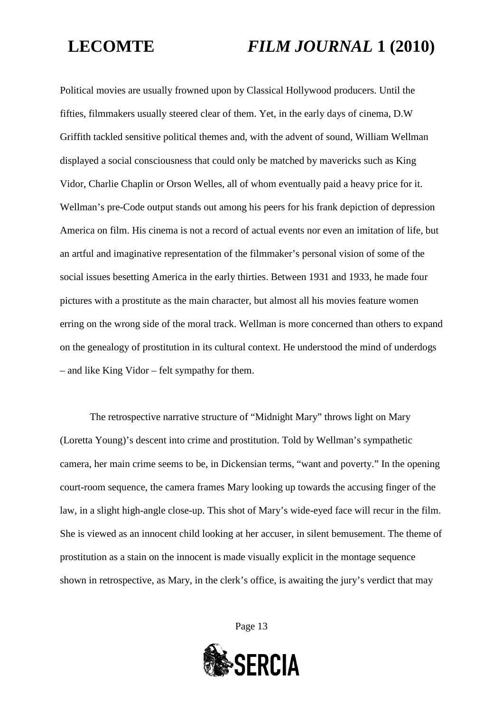Political movies are usually frowned upon by Classical Hollywood producers. Until the fifties, filmmakers usually steered clear of them. Yet, in the early days of cinema, D.W Griffith tackled sensitive political themes and, with the advent of sound, William Wellman displayed a social consciousness that could only be matched by mavericks such as King Vidor, Charlie Chaplin or Orson Welles, all of whom eventually paid a heavy price for it. Wellman's pre-Code output stands out among his peers for his frank depiction of depression America on film. His cinema is not a record of actual events nor even an imitation of life, but an artful and imaginative representation of the filmmaker's personal vision of some of the social issues besetting America in the early thirties. Between 1931 and 1933, he made four pictures with a prostitute as the main character, but almost all his movies feature women erring on the wrong side of the moral track. Wellman is more concerned than others to expand on the genealogy of prostitution in its cultural context. He understood the mind of underdogs – and like King Vidor – felt sympathy for them.

The retrospective narrative structure of "Midnight Mary" throws light on Mary (Loretta Young)'s descent into crime and prostitution. Told by Wellman's sympathetic camera, her main crime seems to be, in Dickensian terms, "want and poverty." In the opening court-room sequence, the camera frames Mary looking up towards the accusing finger of the law, in a slight high-angle close-up. This shot of Mary's wide-eyed face will recur in the film. She is viewed as an innocent child looking at her accuser, in silent bemusement. The theme of prostitution as a stain on the innocent is made visually explicit in the montage sequence shown in retrospective, as Mary, in the clerk's office, is awaiting the jury's verdict that may

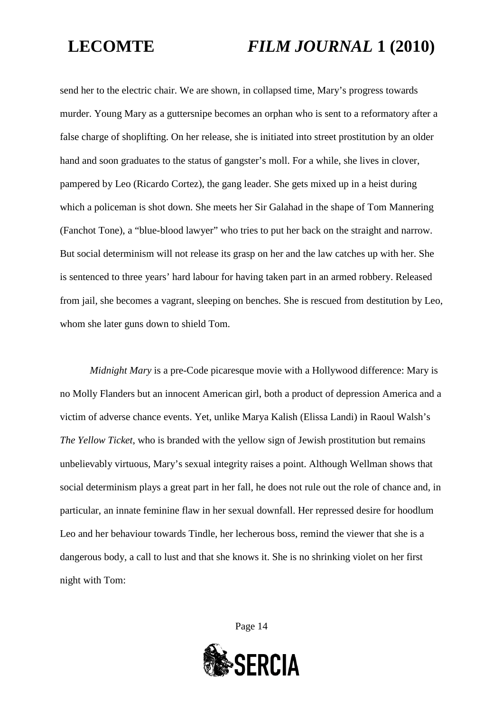send her to the electric chair. We are shown, in collapsed time, Mary's progress towards murder. Young Mary as a guttersnipe becomes an orphan who is sent to a reformatory after a false charge of shoplifting. On her release, she is initiated into street prostitution by an older hand and soon graduates to the status of gangster's moll. For a while, she lives in clover, pampered by Leo (Ricardo Cortez), the gang leader. She gets mixed up in a heist during which a policeman is shot down. She meets her Sir Galahad in the shape of Tom Mannering (Fanchot Tone), a "blue-blood lawyer" who tries to put her back on the straight and narrow. But social determinism will not release its grasp on her and the law catches up with her. She is sentenced to three years' hard labour for having taken part in an armed robbery. Released from jail, she becomes a vagrant, sleeping on benches. She is rescued from destitution by Leo, whom she later guns down to shield Tom.

*Midnight Mary* is a pre-Code picaresque movie with a Hollywood difference: Mary is no Molly Flanders but an innocent American girl, both a product of depression America and a victim of adverse chance events. Yet, unlike Marya Kalish (Elissa Landi) in Raoul Walsh's *The Yellow Ticket*, who is branded with the yellow sign of Jewish prostitution but remains unbelievably virtuous, Mary's sexual integrity raises a point. Although Wellman shows that social determinism plays a great part in her fall, he does not rule out the role of chance and, in particular, an innate feminine flaw in her sexual downfall. Her repressed desire for hoodlum Leo and her behaviour towards Tindle, her lecherous boss, remind the viewer that she is a dangerous body, a call to lust and that she knows it. She is no shrinking violet on her first night with Tom:

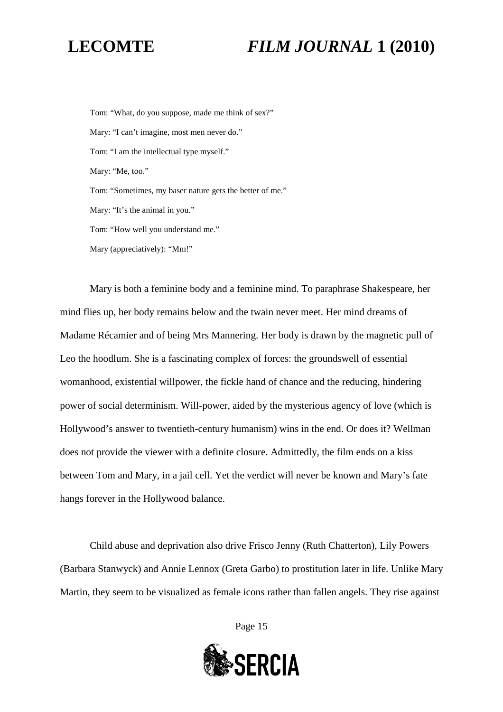Tom: "What, do you suppose, made me think of sex?" Mary: "I can't imagine, most men never do." Tom: "I am the intellectual type myself." Mary: "Me, too." Tom: "Sometimes, my baser nature gets the better of me." Mary: "It's the animal in you." Tom: "How well you understand me." Mary (appreciatively): "Mm!"

Mary is both a feminine body and a feminine mind. To paraphrase Shakespeare, her mind flies up, her body remains below and the twain never meet. Her mind dreams of Madame Récamier and of being Mrs Mannering. Her body is drawn by the magnetic pull of Leo the hoodlum. She is a fascinating complex of forces: the groundswell of essential womanhood, existential willpower, the fickle hand of chance and the reducing, hindering power of social determinism. Will-power, aided by the mysterious agency of love (which is Hollywood's answer to twentieth-century humanism) wins in the end. Or does it? Wellman does not provide the viewer with a definite closure. Admittedly, the film ends on a kiss between Tom and Mary, in a jail cell. Yet the verdict will never be known and Mary's fate hangs forever in the Hollywood balance.

Child abuse and deprivation also drive Frisco Jenny (Ruth Chatterton), Lily Powers (Barbara Stanwyck) and Annie Lennox (Greta Garbo) to prostitution later in life. Unlike Mary Martin, they seem to be visualized as female icons rather than fallen angels. They rise against

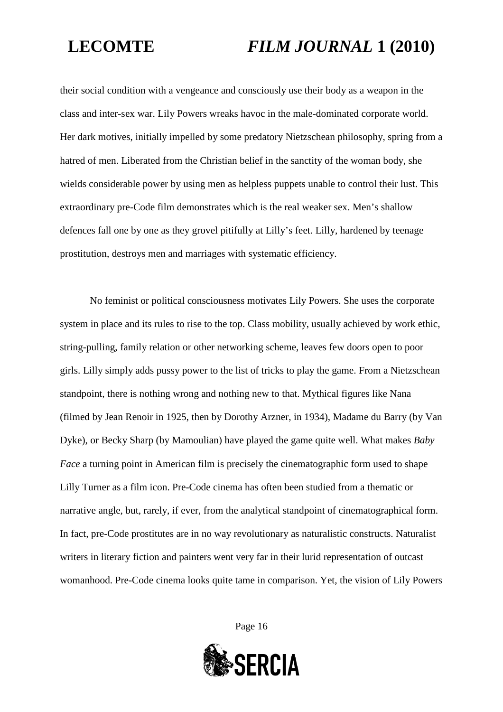their social condition with a vengeance and consciously use their body as a weapon in the class and inter-sex war. Lily Powers wreaks havoc in the male-dominated corporate world. Her dark motives, initially impelled by some predatory Nietzschean philosophy, spring from a hatred of men. Liberated from the Christian belief in the sanctity of the woman body, she wields considerable power by using men as helpless puppets unable to control their lust. This extraordinary pre-Code film demonstrates which is the real weaker sex. Men's shallow defences fall one by one as they grovel pitifully at Lilly's feet. Lilly, hardened by teenage prostitution, destroys men and marriages with systematic efficiency.

No feminist or political consciousness motivates Lily Powers. She uses the corporate system in place and its rules to rise to the top. Class mobility, usually achieved by work ethic, string-pulling, family relation or other networking scheme, leaves few doors open to poor girls. Lilly simply adds pussy power to the list of tricks to play the game. From a Nietzschean standpoint, there is nothing wrong and nothing new to that. Mythical figures like Nana (filmed by Jean Renoir in 1925, then by Dorothy Arzner, in 1934), Madame du Barry (by Van Dyke), or Becky Sharp (by Mamoulian) have played the game quite well. What makes *Baby Face* a turning point in American film is precisely the cinematographic form used to shape Lilly Turner as a film icon. Pre-Code cinema has often been studied from a thematic or narrative angle, but, rarely, if ever, from the analytical standpoint of cinematographical form. In fact, pre-Code prostitutes are in no way revolutionary as naturalistic constructs. Naturalist writers in literary fiction and painters went very far in their lurid representation of outcast womanhood. Pre-Code cinema looks quite tame in comparison. Yet, the vision of Lily Powers

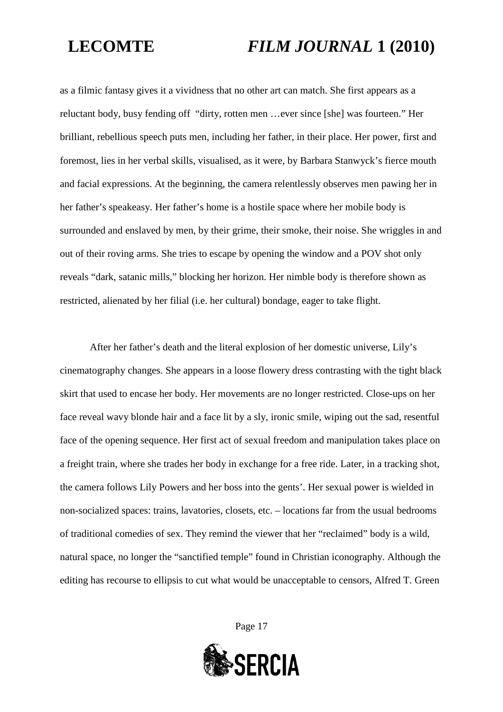as a filmic fantasy gives it a vividness that no other art can match. She first appears as a reluctant body, busy fending off "dirty, rotten men …ever since [she] was fourteen." Her brilliant, rebellious speech puts men, including her father, in their place. Her power, first and foremost, lies in her verbal skills, visualised, as it were, by Barbara Stanwyck's fierce mouth and facial expressions. At the beginning, the camera relentlessly observes men pawing her in her father's speakeasy. Her father's home is a hostile space where her mobile body is surrounded and enslaved by men, by their grime, their smoke, their noise. She wriggles in and out of their roving arms. She tries to escape by opening the window and a POV shot only reveals "dark, satanic mills," blocking her horizon. Her nimble body is therefore shown as restricted, alienated by her filial (i.e. her cultural) bondage, eager to take flight.

After her father's death and the literal explosion of her domestic universe, Lily's cinematography changes. She appears in a loose flowery dress contrasting with the tight black skirt that used to encase her body. Her movements are no longer restricted. Close-ups on her face reveal wavy blonde hair and a face lit by a sly, ironic smile, wiping out the sad, resentful face of the opening sequence. Her first act of sexual freedom and manipulation takes place on a freight train, where she trades her body in exchange for a free ride. Later, in a tracking shot, the camera follows Lily Powers and her boss into the gents'. Her sexual power is wielded in non-socialized spaces: trains, lavatories, closets, etc. – locations far from the usual bedrooms of traditional comedies of sex. They remind the viewer that her "reclaimed" body is a wild, natural space, no longer the "sanctified temple" found in Christian iconography. Although the editing has recourse to ellipsis to cut what would be unacceptable to censors, Alfred T. Green

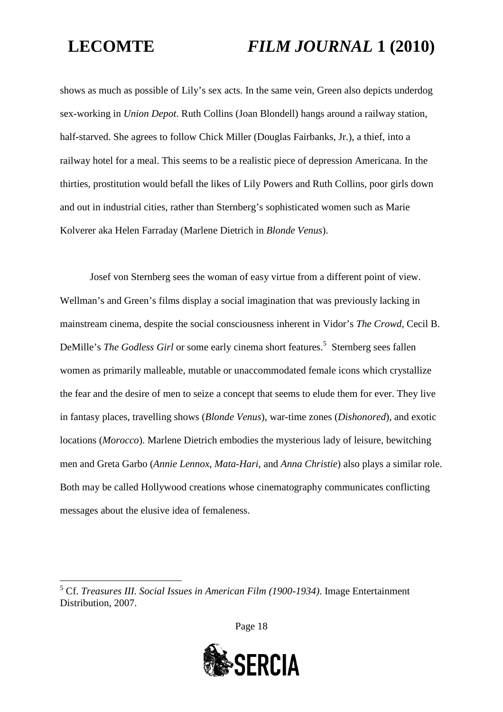shows as much as possible of Lily's sex acts. In the same vein, Green also depicts underdog sex-working in *Union Depot*. Ruth Collins (Joan Blondell) hangs around a railway station, half-starved. She agrees to follow Chick Miller (Douglas Fairbanks, Jr.), a thief, into a railway hotel for a meal. This seems to be a realistic piece of depression Americana. In the thirties, prostitution would befall the likes of Lily Powers and Ruth Collins, poor girls down and out in industrial cities, rather than Sternberg's sophisticated women such as Marie Kolverer aka Helen Farraday (Marlene Dietrich in *Blonde Venus*).

Josef von Sternberg sees the woman of easy virtue from a different point of view. Wellman's and Green's films display a social imagination that was previously lacking in mainstream cinema, despite the social consciousness inherent in Vidor's *The Crowd*, Cecil B. DeMille's *The Godless Girl* or some early cinema short features.<sup>[5](#page-17-0)</sup> Sternberg sees fallen women as primarily malleable, mutable or unaccommodated female icons which crystallize the fear and the desire of men to seize a concept that seems to elude them for ever. They live in fantasy places, travelling shows (*Blonde Venus*), war-time zones (*Dishonored*), and exotic locations (*Morocco*). Marlene Dietrich embodies the mysterious lady of leisure, bewitching men and Greta Garbo (*Annie Lennox*, *Mata-Hari*, and *Anna Christie*) also plays a similar role. Both may be called Hollywood creations whose cinematography communicates conflicting messages about the elusive idea of femaleness.



<span id="page-17-0"></span><sup>5</sup> Cf. *Treasures III. Social Issues in American Film (1900-1934)*. Image Entertainment Distribution, 2007.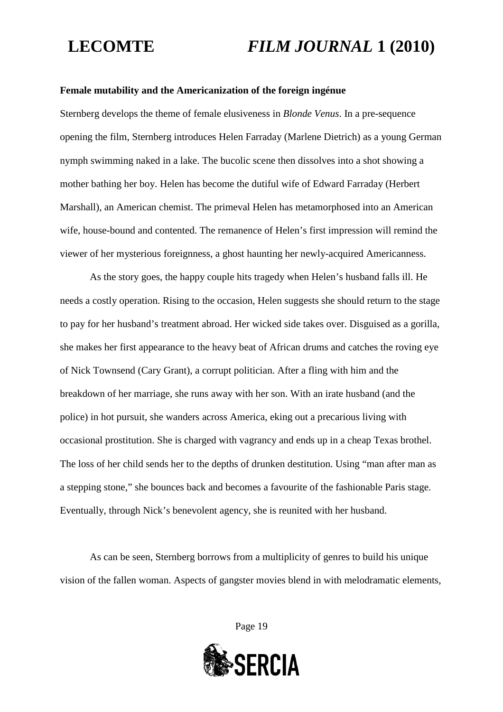### **Female mutability and the Americanization of the foreign ingénue**

Sternberg develops the theme of female elusiveness in *Blonde Venus*. In a pre-sequence opening the film, Sternberg introduces Helen Farraday (Marlene Dietrich) as a young German nymph swimming naked in a lake. The bucolic scene then dissolves into a shot showing a mother bathing her boy. Helen has become the dutiful wife of Edward Farraday (Herbert Marshall), an American chemist. The primeval Helen has metamorphosed into an American wife, house-bound and contented. The remanence of Helen's first impression will remind the viewer of her mysterious foreignness, a ghost haunting her newly-acquired Americanness.

As the story goes, the happy couple hits tragedy when Helen's husband falls ill. He needs a costly operation. Rising to the occasion, Helen suggests she should return to the stage to pay for her husband's treatment abroad. Her wicked side takes over. Disguised as a gorilla, she makes her first appearance to the heavy beat of African drums and catches the roving eye of Nick Townsend (Cary Grant), a corrupt politician. After a fling with him and the breakdown of her marriage, she runs away with her son. With an irate husband (and the police) in hot pursuit, she wanders across America, eking out a precarious living with occasional prostitution. She is charged with vagrancy and ends up in a cheap Texas brothel. The loss of her child sends her to the depths of drunken destitution. Using "man after man as a stepping stone," she bounces back and becomes a favourite of the fashionable Paris stage. Eventually, through Nick's benevolent agency, she is reunited with her husband.

As can be seen, Sternberg borrows from a multiplicity of genres to build his unique vision of the fallen woman. Aspects of gangster movies blend in with melodramatic elements,

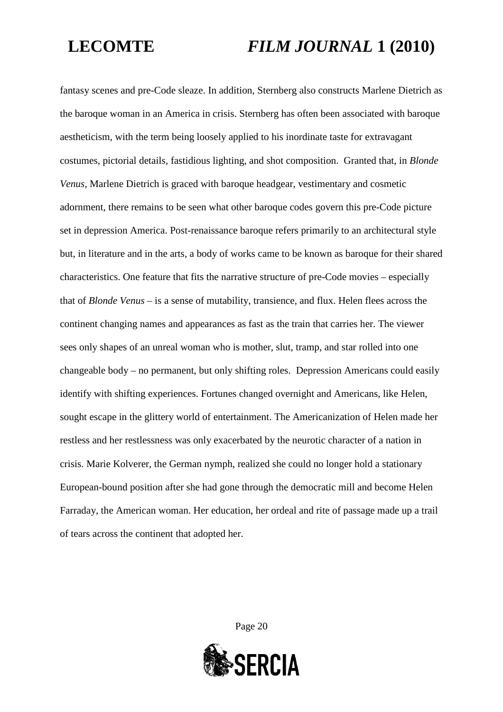fantasy scenes and pre-Code sleaze. In addition, Sternberg also constructs Marlene Dietrich as the baroque woman in an America in crisis. Sternberg has often been associated with baroque aestheticism, with the term being loosely applied to his inordinate taste for extravagant costumes, pictorial details, fastidious lighting, and shot composition. Granted that, in *Blonde Venus*, Marlene Dietrich is graced with baroque headgear, vestimentary and cosmetic adornment, there remains to be seen what other baroque codes govern this pre-Code picture set in depression America. Post-renaissance baroque refers primarily to an architectural style but, in literature and in the arts, a body of works came to be known as baroque for their shared characteristics. One feature that fits the narrative structure of pre-Code movies – especially that of *Blonde Venus* – is a sense of mutability, transience, and flux. Helen flees across the continent changing names and appearances as fast as the train that carries her. The viewer sees only shapes of an unreal woman who is mother, slut, tramp, and star rolled into one changeable body – no permanent, but only shifting roles. Depression Americans could easily identify with shifting experiences. Fortunes changed overnight and Americans, like Helen, sought escape in the glittery world of entertainment. The Americanization of Helen made her restless and her restlessness was only exacerbated by the neurotic character of a nation in crisis. Marie Kolverer, the German nymph, realized she could no longer hold a stationary European-bound position after she had gone through the democratic mill and become Helen Farraday, the American woman. Her education, her ordeal and rite of passage made up a trail of tears across the continent that adopted her.

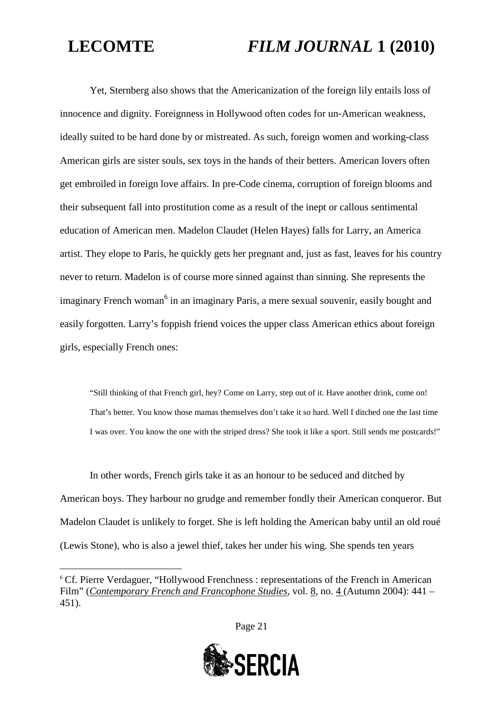Yet, Sternberg also shows that the Americanization of the foreign lily entails loss of innocence and dignity. Foreignness in Hollywood often codes for un-American weakness, ideally suited to be hard done by or mistreated. As such, foreign women and working-class American girls are sister souls, sex toys in the hands of their betters. American lovers often get embroiled in foreign love affairs. In pre-Code cinema, corruption of foreign blooms and their subsequent fall into prostitution come as a result of the inept or callous sentimental education of American men. Madelon Claudet (Helen Hayes) falls for Larry, an America artist. They elope to Paris, he quickly gets her pregnant and, just as fast, leaves for his country never to return. Madelon is of course more sinned against than sinning. She represents the imaginary French woman<sup>[6](#page-20-0)</sup> in an imaginary Paris, a mere sexual souvenir, easily bought and easily forgotten. Larry's foppish friend voices the upper class American ethics about foreign girls, especially French ones:

"Still thinking of that French girl, hey? Come on Larry, step out of it. Have another drink, come on! That's better. You know those mamas themselves don't take it so hard. Well I ditched one the last time I was over. You know the one with the striped dress? She took it like a sport. Still sends me postcards!"

In other words, French girls take it as an honour to be seduced and ditched by American boys. They harbour no grudge and remember fondly their American conqueror. But Madelon Claudet is unlikely to forget. She is left holding the American baby until an old roué (Lewis Stone), who is also a jewel thief, takes her under his wing. She spends ten years



<span id="page-20-0"></span><sup>&</sup>lt;sup>6</sup> Cf. Pierre Verdaguer, "Hollywood Frenchness : representations of the French in American Film" (*Contemporary French and Francophone Studies*, vol. 8, no. 4 (Autumn 2004): 441 – 451).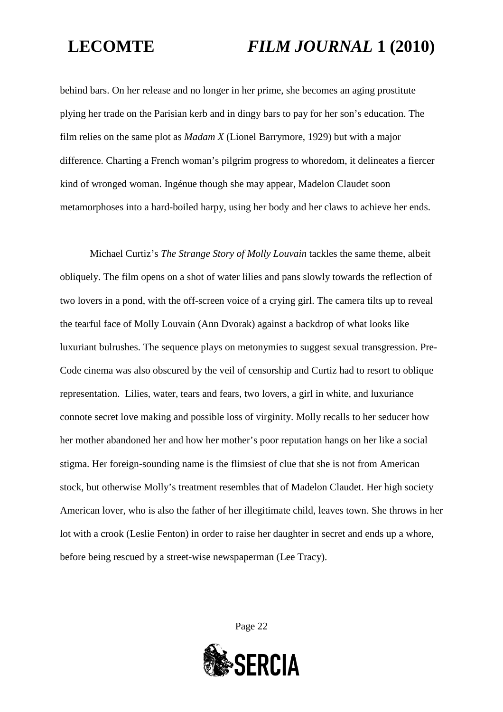behind bars. On her release and no longer in her prime, she becomes an aging prostitute plying her trade on the Parisian kerb and in dingy bars to pay for her son's education. The film relies on the same plot as *Madam X* (Lionel Barrymore, 1929) but with a major difference. Charting a French woman's pilgrim progress to whoredom, it delineates a fiercer kind of wronged woman. Ingénue though she may appear, Madelon Claudet soon metamorphoses into a hard-boiled harpy, using her body and her claws to achieve her ends.

Michael Curtiz's *The Strange Story of Molly Louvain* tackles the same theme, albeit obliquely. The film opens on a shot of water lilies and pans slowly towards the reflection of two lovers in a pond, with the off-screen voice of a crying girl. The camera tilts up to reveal the tearful face of Molly Louvain (Ann Dvorak) against a backdrop of what looks like luxuriant bulrushes. The sequence plays on metonymies to suggest sexual transgression. Pre-Code cinema was also obscured by the veil of censorship and Curtiz had to resort to oblique representation. Lilies, water, tears and fears, two lovers, a girl in white, and luxuriance connote secret love making and possible loss of virginity. Molly recalls to her seducer how her mother abandoned her and how her mother's poor reputation hangs on her like a social stigma. Her foreign-sounding name is the flimsiest of clue that she is not from American stock, but otherwise Molly's treatment resembles that of Madelon Claudet. Her high society American lover, who is also the father of her illegitimate child, leaves town. She throws in her lot with a crook (Leslie Fenton) in order to raise her daughter in secret and ends up a whore, before being rescued by a street-wise newspaperman (Lee Tracy).

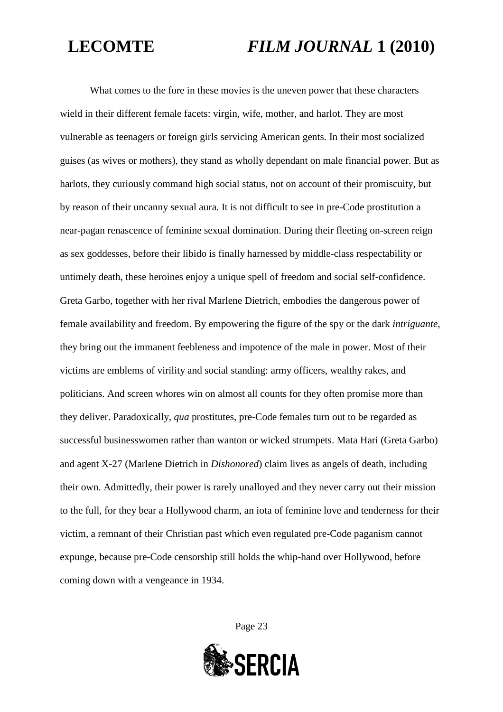What comes to the fore in these movies is the uneven power that these characters wield in their different female facets: virgin, wife, mother, and harlot. They are most vulnerable as teenagers or foreign girls servicing American gents. In their most socialized guises (as wives or mothers), they stand as wholly dependant on male financial power. But as harlots, they curiously command high social status, not on account of their promiscuity, but by reason of their uncanny sexual aura. It is not difficult to see in pre-Code prostitution a near-pagan renascence of feminine sexual domination. During their fleeting on-screen reign as sex goddesses, before their libido is finally harnessed by middle-class respectability or untimely death, these heroines enjoy a unique spell of freedom and social self-confidence. Greta Garbo, together with her rival Marlene Dietrich, embodies the dangerous power of female availability and freedom. By empowering the figure of the spy or the dark *intriguante*, they bring out the immanent feebleness and impotence of the male in power. Most of their victims are emblems of virility and social standing: army officers, wealthy rakes, and politicians. And screen whores win on almost all counts for they often promise more than they deliver. Paradoxically, *qua* prostitutes, pre-Code females turn out to be regarded as successful businesswomen rather than wanton or wicked strumpets. Mata Hari (Greta Garbo) and agent X-27 (Marlene Dietrich in *Dishonored*) claim lives as angels of death, including their own. Admittedly, their power is rarely unalloyed and they never carry out their mission to the full, for they bear a Hollywood charm, an iota of feminine love and tenderness for their victim, a remnant of their Christian past which even regulated pre-Code paganism cannot expunge, because pre-Code censorship still holds the whip-hand over Hollywood, before coming down with a vengeance in 1934.

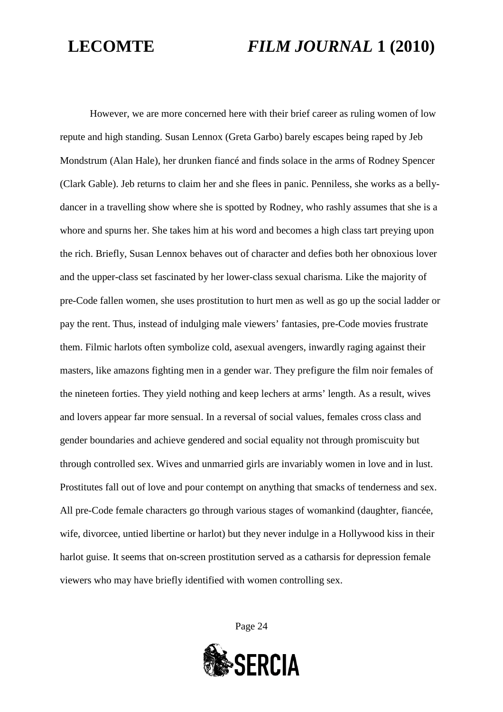However, we are more concerned here with their brief career as ruling women of low repute and high standing. Susan Lennox (Greta Garbo) barely escapes being raped by Jeb Mondstrum (Alan Hale), her drunken fiancé and finds solace in the arms of Rodney Spencer (Clark Gable). Jeb returns to claim her and she flees in panic. Penniless, she works as a bellydancer in a travelling show where she is spotted by Rodney, who rashly assumes that she is a whore and spurns her. She takes him at his word and becomes a high class tart preying upon the rich. Briefly, Susan Lennox behaves out of character and defies both her obnoxious lover and the upper-class set fascinated by her lower-class sexual charisma. Like the majority of pre-Code fallen women, she uses prostitution to hurt men as well as go up the social ladder or pay the rent. Thus, instead of indulging male viewers' fantasies, pre-Code movies frustrate them. Filmic harlots often symbolize cold, asexual avengers, inwardly raging against their masters, like amazons fighting men in a gender war. They prefigure the film noir females of the nineteen forties. They yield nothing and keep lechers at arms' length. As a result, wives and lovers appear far more sensual. In a reversal of social values, females cross class and gender boundaries and achieve gendered and social equality not through promiscuity but through controlled sex. Wives and unmarried girls are invariably women in love and in lust. Prostitutes fall out of love and pour contempt on anything that smacks of tenderness and sex. All pre-Code female characters go through various stages of womankind (daughter, fiancée, wife, divorcee, untied libertine or harlot) but they never indulge in a Hollywood kiss in their harlot guise. It seems that on-screen prostitution served as a catharsis for depression female viewers who may have briefly identified with women controlling sex.

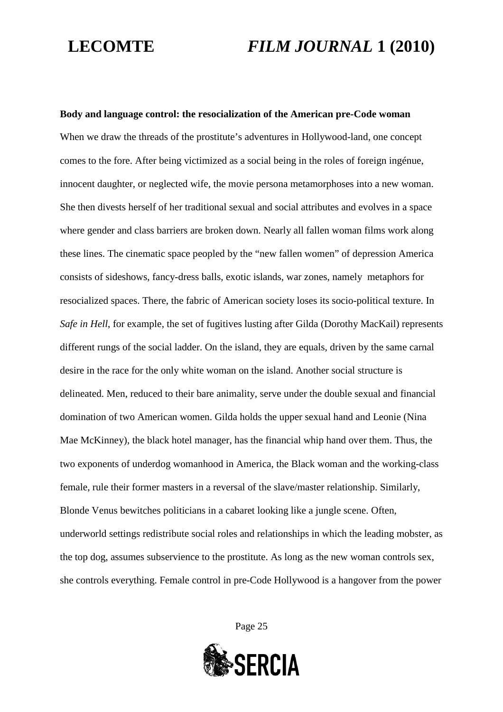**Body and language control: the resocialization of the American pre-Code woman** When we draw the threads of the prostitute's adventures in Hollywood-land, one concept comes to the fore. After being victimized as a social being in the roles of foreign ingénue, innocent daughter, or neglected wife, the movie persona metamorphoses into a new woman. She then divests herself of her traditional sexual and social attributes and evolves in a space where gender and class barriers are broken down. Nearly all fallen woman films work along these lines. The cinematic space peopled by the "new fallen women" of depression America consists of sideshows, fancy-dress balls, exotic islands, war zones, namely metaphors for resocialized spaces. There, the fabric of American society loses its socio-political texture. In *Safe in Hell*, for example, the set of fugitives lusting after Gilda (Dorothy MacKail) represents different rungs of the social ladder. On the island, they are equals, driven by the same carnal desire in the race for the only white woman on the island. Another social structure is delineated. Men, reduced to their bare animality, serve under the double sexual and financial domination of two American women. Gilda holds the upper sexual hand and Leonie (Nina Mae McKinney), the black hotel manager, has the financial whip hand over them. Thus, the two exponents of underdog womanhood in America, the Black woman and the working-class female, rule their former masters in a reversal of the slave/master relationship. Similarly, Blonde Venus bewitches politicians in a cabaret looking like a jungle scene. Often, underworld settings redistribute social roles and relationships in which the leading mobster, as the top dog, assumes subservience to the prostitute. As long as the new woman controls sex, she controls everything. Female control in pre-Code Hollywood is a hangover from the power

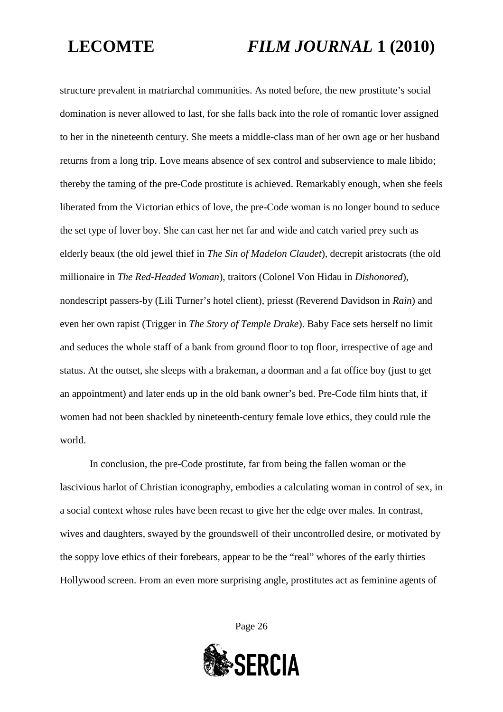structure prevalent in matriarchal communities. As noted before, the new prostitute's social domination is never allowed to last, for she falls back into the role of romantic lover assigned to her in the nineteenth century. She meets a middle-class man of her own age or her husband returns from a long trip. Love means absence of sex control and subservience to male libido; thereby the taming of the pre-Code prostitute is achieved. Remarkably enough, when she feels liberated from the Victorian ethics of love, the pre-Code woman is no longer bound to seduce the set type of lover boy. She can cast her net far and wide and catch varied prey such as elderly beaux (the old jewel thief in *The Sin of Madelon Claudet*), decrepit aristocrats (the old millionaire in *The Red-Headed Woman*), traitors (Colonel Von Hidau in *Dishonored*), nondescript passers-by (Lili Turner's hotel client), priesst (Reverend Davidson in *Rain*) and even her own rapist (Trigger in *The Story of Temple Drake*). Baby Face sets herself no limit and seduces the whole staff of a bank from ground floor to top floor, irrespective of age and status. At the outset, she sleeps with a brakeman, a doorman and a fat office boy (just to get an appointment) and later ends up in the old bank owner's bed. Pre-Code film hints that, if women had not been shackled by nineteenth-century female love ethics, they could rule the world.

In conclusion, the pre-Code prostitute, far from being the fallen woman or the lascivious harlot of Christian iconography, embodies a calculating woman in control of sex, in a social context whose rules have been recast to give her the edge over males. In contrast, wives and daughters, swayed by the groundswell of their uncontrolled desire, or motivated by the soppy love ethics of their forebears, appear to be the "real" whores of the early thirties Hollywood screen. From an even more surprising angle, prostitutes act as feminine agents of

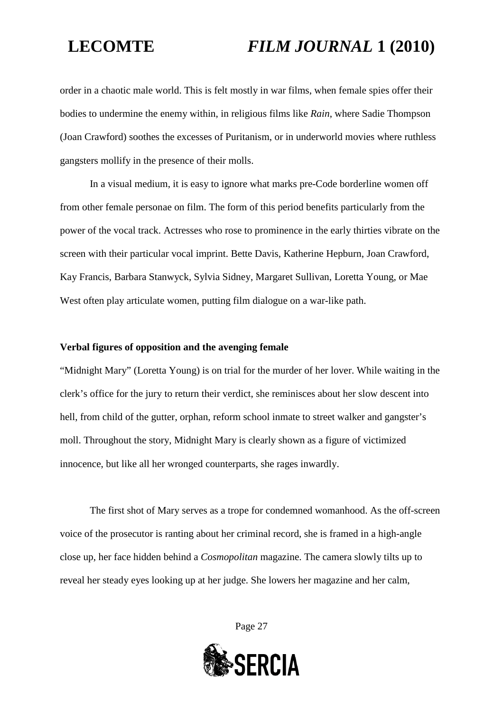order in a chaotic male world. This is felt mostly in war films, when female spies offer their bodies to undermine the enemy within, in religious films like *Rain*, where Sadie Thompson (Joan Crawford) soothes the excesses of Puritanism, or in underworld movies where ruthless gangsters mollify in the presence of their molls.

In a visual medium, it is easy to ignore what marks pre-Code borderline women off from other female personae on film. The form of this period benefits particularly from the power of the vocal track. Actresses who rose to prominence in the early thirties vibrate on the screen with their particular vocal imprint. Bette Davis, Katherine Hepburn, Joan Crawford, Kay Francis, Barbara Stanwyck, Sylvia Sidney, Margaret Sullivan, Loretta Young, or Mae West often play articulate women, putting film dialogue on a war-like path.

### **Verbal figures of opposition and the avenging female**

"Midnight Mary" (Loretta Young) is on trial for the murder of her lover. While waiting in the clerk's office for the jury to return their verdict, she reminisces about her slow descent into hell, from child of the gutter, orphan, reform school inmate to street walker and gangster's moll. Throughout the story, Midnight Mary is clearly shown as a figure of victimized innocence, but like all her wronged counterparts, she rages inwardly.

The first shot of Mary serves as a trope for condemned womanhood. As the off-screen voice of the prosecutor is ranting about her criminal record, she is framed in a high-angle close up, her face hidden behind a *Cosmopolitan* magazine. The camera slowly tilts up to reveal her steady eyes looking up at her judge. She lowers her magazine and her calm,

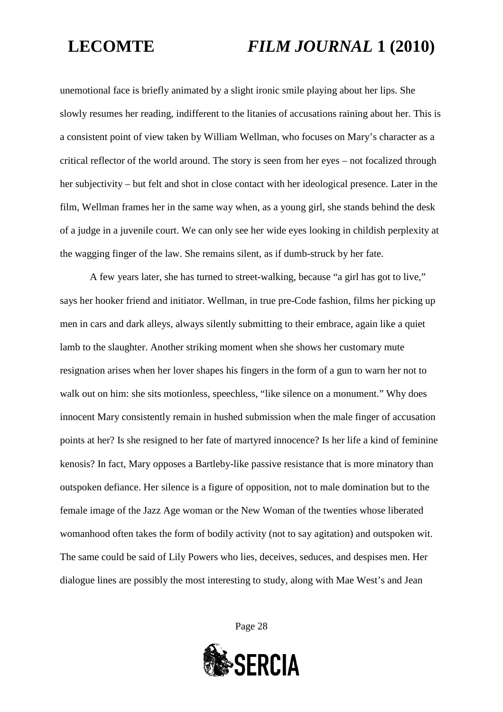unemotional face is briefly animated by a slight ironic smile playing about her lips. She slowly resumes her reading, indifferent to the litanies of accusations raining about her. This is a consistent point of view taken by William Wellman, who focuses on Mary's character as a critical reflector of the world around. The story is seen from her eyes – not focalized through her subjectivity – but felt and shot in close contact with her ideological presence. Later in the film, Wellman frames her in the same way when, as a young girl, she stands behind the desk of a judge in a juvenile court. We can only see her wide eyes looking in childish perplexity at the wagging finger of the law. She remains silent, as if dumb-struck by her fate.

A few years later, she has turned to street-walking, because "a girl has got to live," says her hooker friend and initiator. Wellman, in true pre-Code fashion, films her picking up men in cars and dark alleys, always silently submitting to their embrace, again like a quiet lamb to the slaughter. Another striking moment when she shows her customary mute resignation arises when her lover shapes his fingers in the form of a gun to warn her not to walk out on him: she sits motionless, speechless, "like silence on a monument." Why does innocent Mary consistently remain in hushed submission when the male finger of accusation points at her? Is she resigned to her fate of martyred innocence? Is her life a kind of feminine kenosis? In fact, Mary opposes a Bartleby-like passive resistance that is more minatory than outspoken defiance. Her silence is a figure of opposition, not to male domination but to the female image of the Jazz Age woman or the New Woman of the twenties whose liberated womanhood often takes the form of bodily activity (not to say agitation) and outspoken wit. The same could be said of Lily Powers who lies, deceives, seduces, and despises men. Her dialogue lines are possibly the most interesting to study, along with Mae West's and Jean

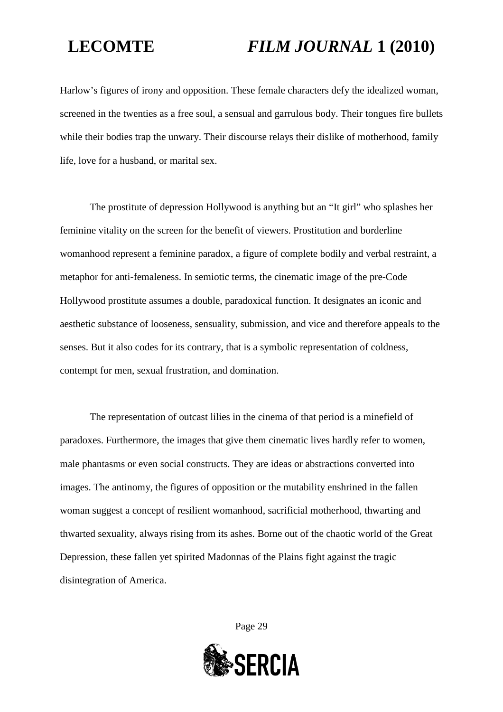Harlow's figures of irony and opposition. These female characters defy the idealized woman, screened in the twenties as a free soul, a sensual and garrulous body. Their tongues fire bullets while their bodies trap the unwary. Their discourse relays their dislike of motherhood, family life, love for a husband, or marital sex.

The prostitute of depression Hollywood is anything but an "It girl" who splashes her feminine vitality on the screen for the benefit of viewers. Prostitution and borderline womanhood represent a feminine paradox, a figure of complete bodily and verbal restraint, a metaphor for anti-femaleness. In semiotic terms, the cinematic image of the pre-Code Hollywood prostitute assumes a double, paradoxical function. It designates an iconic and aesthetic substance of looseness, sensuality, submission, and vice and therefore appeals to the senses. But it also codes for its contrary, that is a symbolic representation of coldness, contempt for men, sexual frustration, and domination.

The representation of outcast lilies in the cinema of that period is a minefield of paradoxes. Furthermore, the images that give them cinematic lives hardly refer to women, male phantasms or even social constructs. They are ideas or abstractions converted into images. The antinomy, the figures of opposition or the mutability enshrined in the fallen woman suggest a concept of resilient womanhood, sacrificial motherhood, thwarting and thwarted sexuality, always rising from its ashes. Borne out of the chaotic world of the Great Depression, these fallen yet spirited Madonnas of the Plains fight against the tragic disintegration of America.

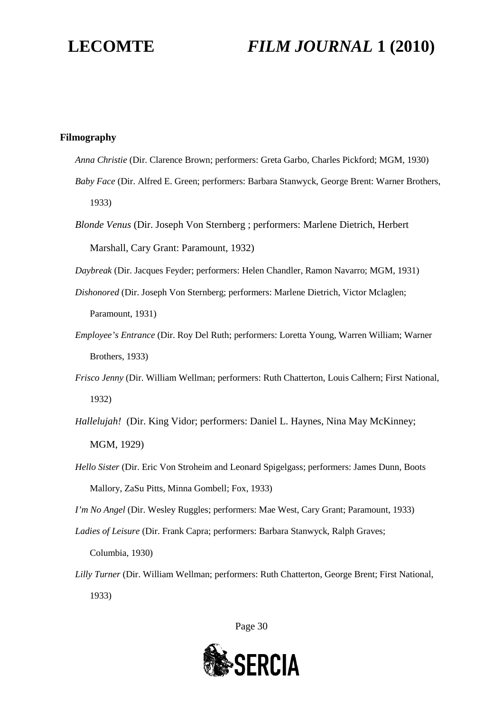### **Filmography**

- *Anna Christie* (Dir. Clarence Brown; performers: Greta Garbo, Charles Pickford; MGM, 1930)
- *Baby Face* (Dir. Alfred E. Green; performers: Barbara Stanwyck, George Brent: Warner Brothers, 1933)
- *Blonde Venus* (Dir. Joseph Von Sternberg ; performers: Marlene Dietrich, Herbert Marshall, Cary Grant: Paramount, 1932)

*Daybreak* (Dir. Jacques Feyder; performers: Helen Chandler, Ramon Navarro; MGM, 1931)

- *Dishonored* (Dir. Joseph Von Sternberg; performers: Marlene Dietrich, Victor Mclaglen; Paramount, 1931)
- *Employee's Entrance* (Dir. Roy Del Ruth; performers: Loretta Young, Warren William; Warner Brothers, 1933)
- *Frisco Jenny* (Dir. William Wellman; performers: Ruth Chatterton, Louis Calhern; First National, 1932)
- *Hallelujah!* (Dir. King Vidor; performers: Daniel L. Haynes, Nina May McKinney; MGM, 1929)
- *Hello Sister* (Dir. Eric Von Stroheim and Leonard Spigelgass; performers: James Dunn, Boots Mallory, ZaSu Pitts, Minna Gombell; Fox, 1933)

*I'm No Angel* (Dir. Wesley Ruggles; performers: Mae West, Cary Grant; Paramount, 1933)

*Ladies of Leisure* (Dir. Frank Capra; performers: Barbara Stanwyck, Ralph Graves;

Columbia, 1930)

*Lilly Turner* (Dir. William Wellman; performers: Ruth Chatterton, George Brent; First National, 1933)

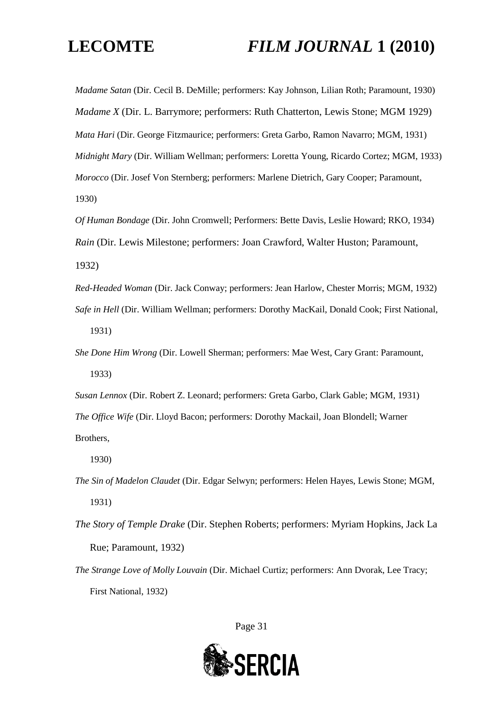*Madame Satan* (Dir. Cecil B. DeMille; performers: Kay Johnson, Lilian Roth; Paramount, 1930) *Madame X* (Dir. L. Barrymore; performers: Ruth Chatterton, Lewis Stone; MGM 1929) *Mata Hari* (Dir. George Fitzmaurice; performers: Greta Garbo, Ramon Navarro; MGM, 1931) *Midnight Mary* (Dir. William Wellman; performers: Loretta Young, Ricardo Cortez; MGM, 1933) *Morocco* (Dir. Josef Von Sternberg; performers: Marlene Dietrich, Gary Cooper; Paramount, 1930)

*Of Human Bondage* (Dir. John Cromwell; Performers: Bette Davis, Leslie Howard; RKO, 1934) *Rain* (Dir. Lewis Milestone; performers: Joan Crawford, Walter Huston; Paramount,

1932)

*Red-Headed Woman* (Dir. Jack Conway; performers: Jean Harlow, Chester Morris; MGM, 1932) *Safe in Hell* (Dir. William Wellman; performers: Dorothy MacKail, Donald Cook; First National, 1931)

*She Done Him Wrong* (Dir. Lowell Sherman; performers: Mae West, Cary Grant: Paramount, 1933)

*Susan Lennox* (Dir. Robert Z. Leonard; performers: Greta Garbo, Clark Gable; MGM, 1931) *The Office Wife* (Dir. Lloyd Bacon; performers: Dorothy Mackail, Joan Blondell; Warner Brothers,

1930)

*The Sin of Madelon Claudet* (Dir. Edgar Selwyn; performers: Helen Hayes, Lewis Stone; MGM, 1931)

*The Story of Temple Drake* (Dir. Stephen Roberts; performers: Myriam Hopkins, Jack La Rue; Paramount, 1932)

*The Strange Love of Molly Louvain* (Dir. Michael Curtiz; performers: Ann Dvorak, Lee Tracy; First National, 1932)

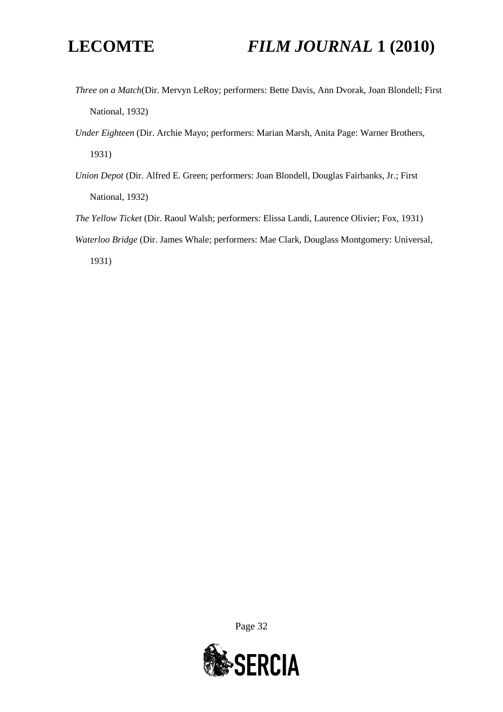- *Three on a Match*(Dir. Mervyn LeRoy; performers: Bette Davis, Ann Dvorak, Joan Blondell; First National, 1932)
- *Under Eighteen* (Dir. Archie Mayo; performers: Marian Marsh, Anita Page: Warner Brothers, 1931)
- *Union Depot* (Dir. Alfred E. Green; performers: Joan Blondell, Douglas Fairbanks, Jr.; First National, 1932)
- *The Yellow Ticket* (Dir. Raoul Walsh; performers: Elissa Landi, Laurence Olivier; Fox, 1931)
- *Waterloo Bridge* (Dir. James Whale; performers: Mae Clark, Douglass Montgomery: Universal,

1931)